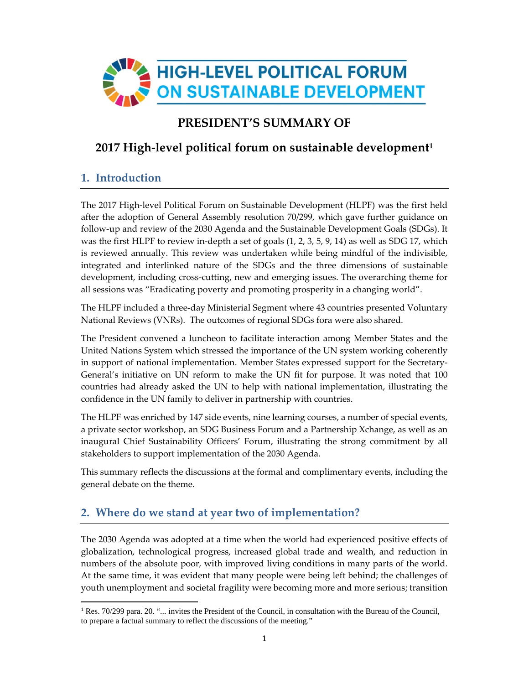

# **PRESIDENT'S SUMMARY OF**

# **2017 High‐level political forum on sustainable development1**

# **1. Introduction**

The 2017 High‐level Political Forum on Sustainable Development (HLPF) was the first held after the adoption of General Assembly resolution 70/299, which gave further guidance on follow‐up and review of the 2030 Agenda and the Sustainable Development Goals (SDGs). It was the first HLPF to review in-depth a set of goals (1, 2, 3, 5, 9, 14) as well as SDG 17, which is reviewed annually. This review was undertaken while being mindful of the indivisible, integrated and interlinked nature of the SDGs and the three dimensions of sustainable development, including cross‐cutting, new and emerging issues. The overarching theme for all sessions was "Eradicating poverty and promoting prosperity in a changing world".

The HLPF included a three‐day Ministerial Segment where 43 countries presented Voluntary National Reviews (VNRs). The outcomes of regional SDGs fora were also shared.

The President convened a luncheon to facilitate interaction among Member States and the United Nations System which stressed the importance of the UN system working coherently in support of national implementation. Member States expressed support for the Secretary‐ General's initiative on UN reform to make the UN fit for purpose. It was noted that 100 countries had already asked the UN to help with national implementation, illustrating the confidence in the UN family to deliver in partnership with countries.

The HLPF was enriched by 147 side events, nine learning courses, a number of special events, a private sector workshop, an SDG Business Forum and a Partnership Xchange, as well as an inaugural Chief Sustainability Officers' Forum, illustrating the strong commitment by all stakeholders to support implementation of the 2030 Agenda.

This summary reflects the discussions at the formal and complimentary events, including the general debate on the theme.

# **2. Where do we stand at year two of implementation?**

The 2030 Agenda was adopted at a time when the world had experienced positive effects of globalization, technological progress, increased global trade and wealth, and reduction in numbers of the absolute poor, with improved living conditions in many parts of the world. At the same time, it was evident that many people were being left behind; the challenges of youth unemployment and societal fragility were becoming more and more serious; transition

 <sup>1</sup> Res. 70/299 para. 20. "... invites the President of the Council, in consultation with the Bureau of the Council, to prepare a factual summary to reflect the discussions of the meeting."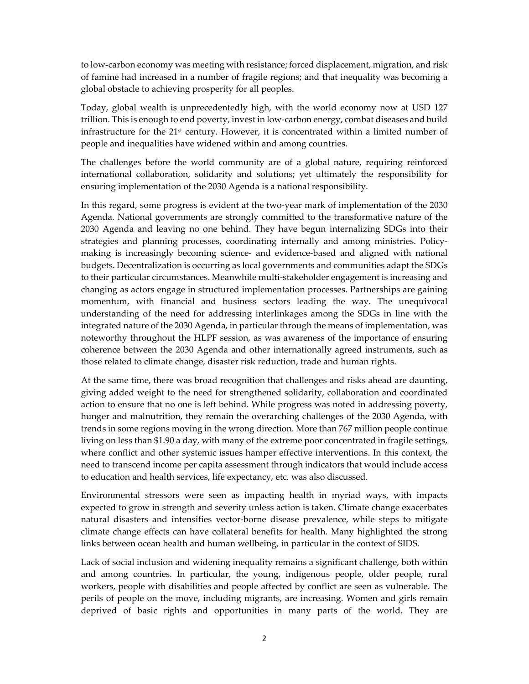to low‐carbon economy was meeting with resistance; forced displacement, migration, and risk of famine had increased in a number of fragile regions; and that inequality was becoming a global obstacle to achieving prosperity for all peoples.

Today, global wealth is unprecedentedly high, with the world economy now at USD 127 trillion. This is enough to end poverty, invest in low‐carbon energy, combat diseases and build infrastructure for the 21<sup>st</sup> century. However, it is concentrated within a limited number of people and inequalities have widened within and among countries.

The challenges before the world community are of a global nature, requiring reinforced international collaboration, solidarity and solutions; yet ultimately the responsibility for ensuring implementation of the 2030 Agenda is a national responsibility.

In this regard, some progress is evident at the two-year mark of implementation of the 2030 Agenda. National governments are strongly committed to the transformative nature of the 2030 Agenda and leaving no one behind. They have begun internalizing SDGs into their strategies and planning processes, coordinating internally and among ministries. Policymaking is increasingly becoming science‐ and evidence‐based and aligned with national budgets. Decentralization is occurring as local governments and communities adapt the SDGs to their particular circumstances. Meanwhile multi‐stakeholder engagement is increasing and changing as actors engage in structured implementation processes. Partnerships are gaining momentum, with financial and business sectors leading the way. The unequivocal understanding of the need for addressing interlinkages among the SDGs in line with the integrated nature of the 2030 Agenda, in particular through the means of implementation, was noteworthy throughout the HLPF session, as was awareness of the importance of ensuring coherence between the 2030 Agenda and other internationally agreed instruments, such as those related to climate change, disaster risk reduction, trade and human rights.

At the same time, there was broad recognition that challenges and risks ahead are daunting, giving added weight to the need for strengthened solidarity, collaboration and coordinated action to ensure that no one is left behind. While progress was noted in addressing poverty, hunger and malnutrition, they remain the overarching challenges of the 2030 Agenda, with trends in some regions moving in the wrong direction. More than 767 million people continue living on less than \$1.90 a day, with many of the extreme poor concentrated in fragile settings, where conflict and other systemic issues hamper effective interventions. In this context, the need to transcend income per capita assessment through indicators that would include access to education and health services, life expectancy, etc. was also discussed.

Environmental stressors were seen as impacting health in myriad ways, with impacts expected to grow in strength and severity unless action is taken. Climate change exacerbates natural disasters and intensifies vector‐borne disease prevalence, while steps to mitigate climate change effects can have collateral benefits for health. Many highlighted the strong links between ocean health and human wellbeing, in particular in the context of SIDS.

Lack of social inclusion and widening inequality remains a significant challenge, both within and among countries. In particular, the young, indigenous people, older people, rural workers, people with disabilities and people affected by conflict are seen as vulnerable. The perils of people on the move, including migrants, are increasing. Women and girls remain deprived of basic rights and opportunities in many parts of the world. They are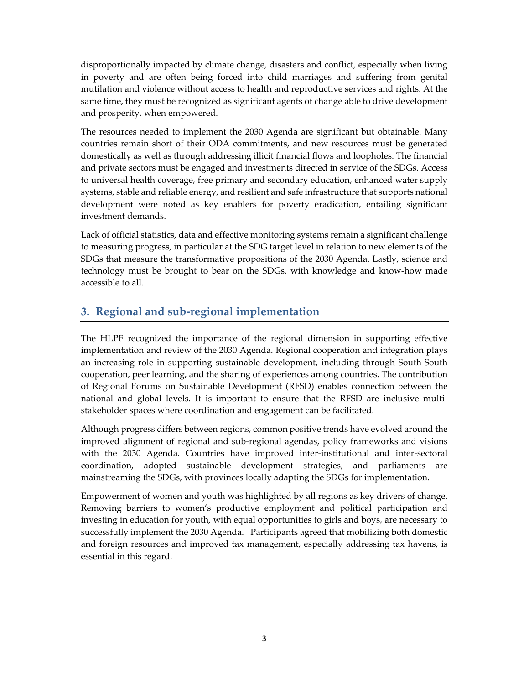disproportionally impacted by climate change, disasters and conflict, especially when living in poverty and are often being forced into child marriages and suffering from genital mutilation and violence without access to health and reproductive services and rights. At the same time, they must be recognized as significant agents of change able to drive development and prosperity, when empowered.

The resources needed to implement the 2030 Agenda are significant but obtainable. Many countries remain short of their ODA commitments, and new resources must be generated domestically as well as through addressing illicit financial flows and loopholes. The financial and private sectors must be engaged and investments directed in service of the SDGs. Access to universal health coverage, free primary and secondary education, enhanced water supply systems, stable and reliable energy, and resilient and safe infrastructure that supports national development were noted as key enablers for poverty eradication, entailing significant investment demands.

Lack of official statistics, data and effective monitoring systems remain a significant challenge to measuring progress, in particular at the SDG target level in relation to new elements of the SDGs that measure the transformative propositions of the 2030 Agenda. Lastly, science and technology must be brought to bear on the SDGs, with knowledge and know‐how made accessible to all.

## **3. Regional and sub‐regional implementation**

The HLPF recognized the importance of the regional dimension in supporting effective implementation and review of the 2030 Agenda. Regional cooperation and integration plays an increasing role in supporting sustainable development, including through South‐South cooperation, peer learning, and the sharing of experiences among countries. The contribution of Regional Forums on Sustainable Development (RFSD) enables connection between the national and global levels. It is important to ensure that the RFSD are inclusive multistakeholder spaces where coordination and engagement can be facilitated.

Although progress differs between regions, common positive trends have evolved around the improved alignment of regional and sub‐regional agendas, policy frameworks and visions with the 2030 Agenda. Countries have improved inter-institutional and inter-sectoral coordination, adopted sustainable development strategies, and parliaments are mainstreaming the SDGs, with provinces locally adapting the SDGs for implementation.

Empowerment of women and youth was highlighted by all regions as key drivers of change. Removing barriers to women's productive employment and political participation and investing in education for youth, with equal opportunities to girls and boys, are necessary to successfully implement the 2030 Agenda. Participants agreed that mobilizing both domestic and foreign resources and improved tax management, especially addressing tax havens, is essential in this regard.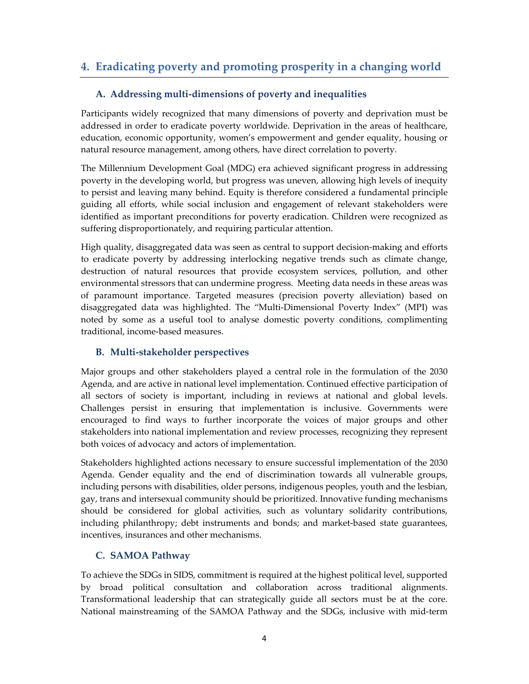# **4. Eradicating poverty and promoting prosperity in a changing world**

### **A. Addressing multi‐dimensions of poverty and inequalities**

Participants widely recognized that many dimensions of poverty and deprivation must be addressed in order to eradicate poverty worldwide. Deprivation in the areas of healthcare, education, economic opportunity, women's empowerment and gender equality, housing or natural resource management, among others, have direct correlation to poverty.

The Millennium Development Goal (MDG) era achieved significant progress in addressing poverty in the developing world, but progress was uneven, allowing high levels of inequity to persist and leaving many behind. Equity is therefore considered a fundamental principle guiding all efforts, while social inclusion and engagement of relevant stakeholders were identified as important preconditions for poverty eradication. Children were recognized as suffering disproportionately, and requiring particular attention.

High quality, disaggregated data was seen as central to support decision-making and efforts to eradicate poverty by addressing interlocking negative trends such as climate change, destruction of natural resources that provide ecosystem services, pollution, and other environmental stressors that can undermine progress. Meeting data needs in these areas was of paramount importance. Targeted measures (precision poverty alleviation) based on disaggregated data was highlighted. The "Multi‐Dimensional Poverty Index" (MPI) was noted by some as a useful tool to analyse domestic poverty conditions, complimenting traditional, income‐based measures.

### **B. Multi‐stakeholder perspectives**

Major groups and other stakeholders played a central role in the formulation of the 2030 Agenda, and are active in national level implementation. Continued effective participation of all sectors of society is important, including in reviews at national and global levels. Challenges persist in ensuring that implementation is inclusive. Governments were encouraged to find ways to further incorporate the voices of major groups and other stakeholders into national implementation and review processes, recognizing they represent both voices of advocacy and actors of implementation.

Stakeholders highlighted actions necessary to ensure successful implementation of the 2030 Agenda. Gender equality and the end of discrimination towards all vulnerable groups, including persons with disabilities, older persons, indigenous peoples, youth and the lesbian, gay, trans and intersexual community should be prioritized. Innovative funding mechanisms should be considered for global activities, such as voluntary solidarity contributions, including philanthropy; debt instruments and bonds; and market-based state guarantees, incentives, insurances and other mechanisms.

### **C. SAMOA Pathway**

To achieve the SDGs in SIDS, commitment is required at the highest political level, supported by broad political consultation and collaboration across traditional alignments. Transformational leadership that can strategically guide all sectors must be at the core. National mainstreaming of the SAMOA Pathway and the SDGs, inclusive with mid‐term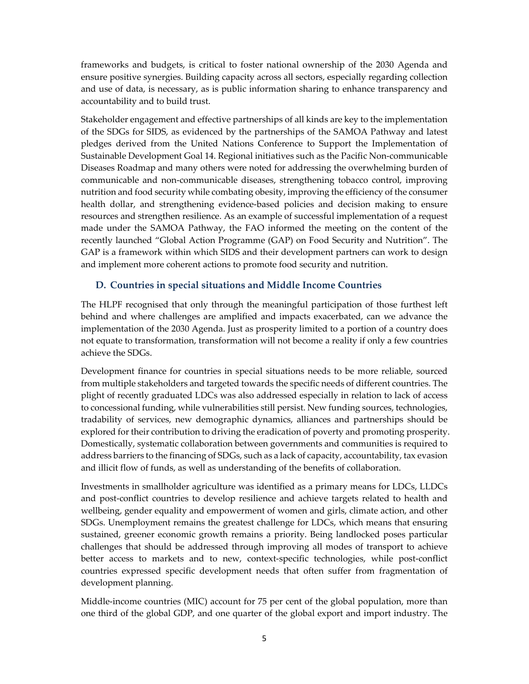frameworks and budgets, is critical to foster national ownership of the 2030 Agenda and ensure positive synergies. Building capacity across all sectors, especially regarding collection and use of data, is necessary, as is public information sharing to enhance transparency and accountability and to build trust.

Stakeholder engagement and effective partnerships of all kinds are key to the implementation of the SDGs for SIDS, as evidenced by the partnerships of the SAMOA Pathway and latest pledges derived from the United Nations Conference to Support the Implementation of Sustainable Development Goal 14. Regional initiatives such as the Pacific Non‐communicable Diseases Roadmap and many others were noted for addressing the overwhelming burden of communicable and non‐communicable diseases, strengthening tobacco control, improving nutrition and food security while combating obesity, improving the efficiency of the consumer health dollar, and strengthening evidence-based policies and decision making to ensure resources and strengthen resilience. As an example of successful implementation of a request made under the SAMOA Pathway, the FAO informed the meeting on the content of the recently launched "Global Action Programme (GAP) on Food Security and Nutrition". The GAP is a framework within which SIDS and their development partners can work to design and implement more coherent actions to promote food security and nutrition.

#### **D. Countries in special situations and Middle Income Countries**

The HLPF recognised that only through the meaningful participation of those furthest left behind and where challenges are amplified and impacts exacerbated, can we advance the implementation of the 2030 Agenda. Just as prosperity limited to a portion of a country does not equate to transformation, transformation will not become a reality if only a few countries achieve the SDGs.

Development finance for countries in special situations needs to be more reliable, sourced from multiple stakeholders and targeted towards the specific needs of different countries. The plight of recently graduated LDCs was also addressed especially in relation to lack of access to concessional funding, while vulnerabilities still persist. New funding sources, technologies, tradability of services, new demographic dynamics, alliances and partnerships should be explored for their contribution to driving the eradication of poverty and promoting prosperity. Domestically, systematic collaboration between governments and communities is required to address barriers to the financing of SDGs, such as a lack of capacity, accountability, tax evasion and illicit flow of funds, as well as understanding of the benefits of collaboration.

Investments in smallholder agriculture was identified as a primary means for LDCs, LLDCs and post-conflict countries to develop resilience and achieve targets related to health and wellbeing, gender equality and empowerment of women and girls, climate action, and other SDGs. Unemployment remains the greatest challenge for LDCs, which means that ensuring sustained, greener economic growth remains a priority. Being landlocked poses particular challenges that should be addressed through improving all modes of transport to achieve better access to markets and to new, context-specific technologies, while post-conflict countries expressed specific development needs that often suffer from fragmentation of development planning.

Middle-income countries (MIC) account for 75 per cent of the global population, more than one third of the global GDP, and one quarter of the global export and import industry. The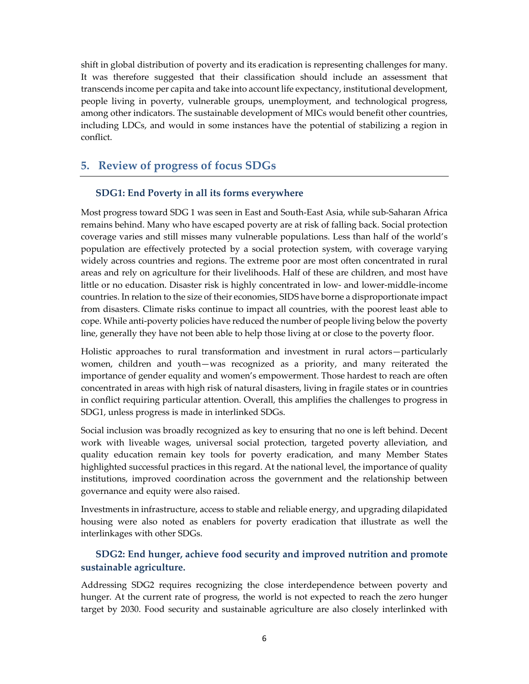shift in global distribution of poverty and its eradication is representing challenges for many. It was therefore suggested that their classification should include an assessment that transcends income per capita and take into account life expectancy, institutional development, people living in poverty, vulnerable groups, unemployment, and technological progress, among other indicators. The sustainable development of MICs would benefit other countries, including LDCs, and would in some instances have the potential of stabilizing a region in conflict.

## **5. Review of progress of focus SDGs**

#### **SDG1: End Poverty in all its forms everywhere**

Most progress toward SDG 1 was seen in East and South‐East Asia, while sub‐Saharan Africa remains behind. Many who have escaped poverty are at risk of falling back. Social protection coverage varies and still misses many vulnerable populations. Less than half of the world's population are effectively protected by a social protection system, with coverage varying widely across countries and regions. The extreme poor are most often concentrated in rural areas and rely on agriculture for their livelihoods. Half of these are children, and most have little or no education. Disaster risk is highly concentrated in low- and lower-middle-income countries. In relation to the size of their economies, SIDS have borne a disproportionate impact from disasters. Climate risks continue to impact all countries, with the poorest least able to cope. While anti‐poverty policies have reduced the number of people living below the poverty line, generally they have not been able to help those living at or close to the poverty floor.

Holistic approaches to rural transformation and investment in rural actors—particularly women, children and youth—was recognized as a priority, and many reiterated the importance of gender equality and women's empowerment. Those hardest to reach are often concentrated in areas with high risk of natural disasters, living in fragile states or in countries in conflict requiring particular attention. Overall, this amplifies the challenges to progress in SDG1, unless progress is made in interlinked SDGs.

Social inclusion was broadly recognized as key to ensuring that no one is left behind. Decent work with liveable wages, universal social protection, targeted poverty alleviation, and quality education remain key tools for poverty eradication, and many Member States highlighted successful practices in this regard. At the national level, the importance of quality institutions, improved coordination across the government and the relationship between governance and equity were also raised.

Investments in infrastructure, access to stable and reliable energy, and upgrading dilapidated housing were also noted as enablers for poverty eradication that illustrate as well the interlinkages with other SDGs.

### **SDG2: End hunger, achieve food security and improved nutrition and promote sustainable agriculture.**

Addressing SDG2 requires recognizing the close interdependence between poverty and hunger. At the current rate of progress, the world is not expected to reach the zero hunger target by 2030. Food security and sustainable agriculture are also closely interlinked with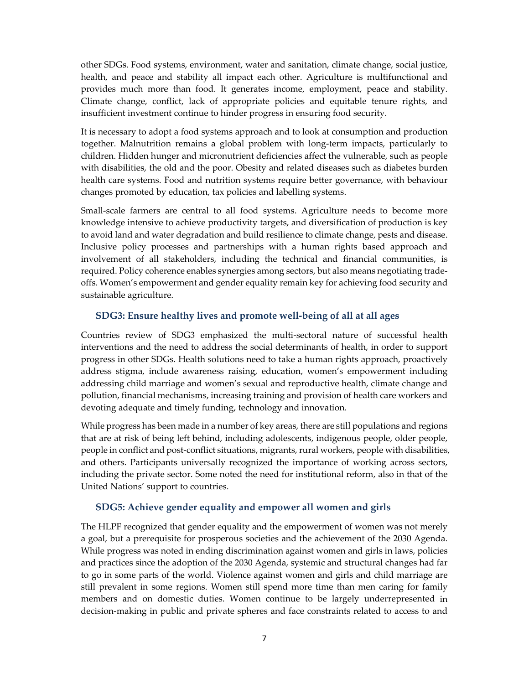other SDGs. Food systems, environment, water and sanitation, climate change, social justice, health, and peace and stability all impact each other. Agriculture is multifunctional and provides much more than food. It generates income, employment, peace and stability. Climate change, conflict, lack of appropriate policies and equitable tenure rights, and insufficient investment continue to hinder progress in ensuring food security.

It is necessary to adopt a food systems approach and to look at consumption and production together. Malnutrition remains a global problem with long‐term impacts, particularly to children. Hidden hunger and micronutrient deficiencies affect the vulnerable, such as people with disabilities, the old and the poor. Obesity and related diseases such as diabetes burden health care systems. Food and nutrition systems require better governance, with behaviour changes promoted by education, tax policies and labelling systems.

Small‐scale farmers are central to all food systems. Agriculture needs to become more knowledge intensive to achieve productivity targets, and diversification of production is key to avoid land and water degradation and build resilience to climate change, pests and disease. Inclusive policy processes and partnerships with a human rights based approach and involvement of all stakeholders, including the technical and financial communities, is required. Policy coherence enables synergies among sectors, but also means negotiating trade‐ offs. Women's empowerment and gender equality remain key for achieving food security and sustainable agriculture.

#### **SDG3: Ensure healthy lives and promote well‐being of all at all ages**

Countries review of SDG3 emphasized the multi‐sectoral nature of successful health interventions and the need to address the social determinants of health, in order to support progress in other SDGs. Health solutions need to take a human rights approach, proactively address stigma, include awareness raising, education, women's empowerment including addressing child marriage and women's sexual and reproductive health, climate change and pollution, financial mechanisms, increasing training and provision of health care workers and devoting adequate and timely funding, technology and innovation.

While progress has been made in a number of key areas, there are still populations and regions that are at risk of being left behind, including adolescents, indigenous people, older people, people in conflict and post-conflict situations, migrants, rural workers, people with disabilities, and others. Participants universally recognized the importance of working across sectors, including the private sector. Some noted the need for institutional reform, also in that of the United Nations' support to countries.

#### **SDG5: Achieve gender equality and empower all women and girls**

The HLPF recognized that gender equality and the empowerment of women was not merely a goal, but a prerequisite for prosperous societies and the achievement of the 2030 Agenda. While progress was noted in ending discrimination against women and girls in laws, policies and practices since the adoption of the 2030 Agenda, systemic and structural changes had far to go in some parts of the world. Violence against women and girls and child marriage are still prevalent in some regions. Women still spend more time than men caring for family members and on domestic duties. Women continue to be largely underrepresented in decision‐making in public and private spheres and face constraints related to access to and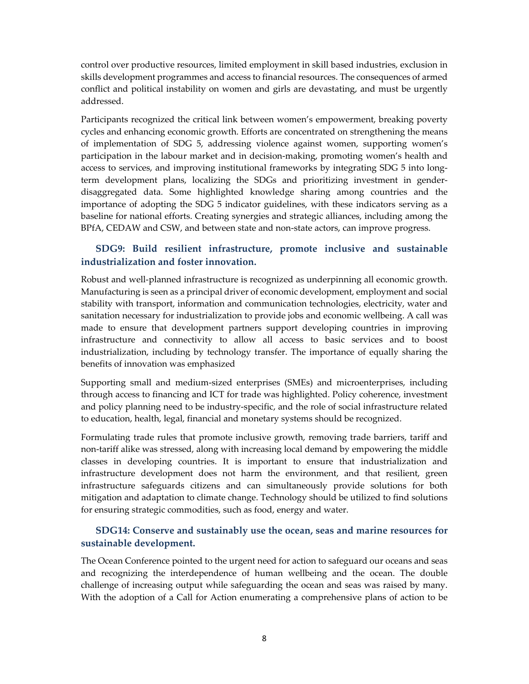control over productive resources, limited employment in skill based industries, exclusion in skills development programmes and access to financial resources. The consequences of armed conflict and political instability on women and girls are devastating, and must be urgently addressed.

Participants recognized the critical link between women's empowerment, breaking poverty cycles and enhancing economic growth. Efforts are concentrated on strengthening the means of implementation of SDG 5, addressing violence against women, supporting women's participation in the labour market and in decision-making, promoting women's health and access to services, and improving institutional frameworks by integrating SDG 5 into long‐ term development plans, localizing the SDGs and prioritizing investment in genderdisaggregated data. Some highlighted knowledge sharing among countries and the importance of adopting the SDG 5 indicator guidelines, with these indicators serving as a baseline for national efforts. Creating synergies and strategic alliances, including among the BPfA, CEDAW and CSW, and between state and non‐state actors, can improve progress.

### **SDG9: Build resilient infrastructure, promote inclusive and sustainable industrialization and foster innovation.**

Robust and well‐planned infrastructure is recognized as underpinning all economic growth. Manufacturing is seen as a principal driver of economic development, employment and social stability with transport, information and communication technologies, electricity, water and sanitation necessary for industrialization to provide jobs and economic wellbeing. A call was made to ensure that development partners support developing countries in improving infrastructure and connectivity to allow all access to basic services and to boost industrialization, including by technology transfer. The importance of equally sharing the benefits of innovation was emphasized

Supporting small and medium‐sized enterprises (SMEs) and microenterprises, including through access to financing and ICT for trade was highlighted. Policy coherence, investment and policy planning need to be industry‐specific, and the role of social infrastructure related to education, health, legal, financial and monetary systems should be recognized.

Formulating trade rules that promote inclusive growth, removing trade barriers, tariff and non‐tariff alike was stressed, along with increasing local demand by empowering the middle classes in developing countries. It is important to ensure that industrialization and infrastructure development does not harm the environment, and that resilient, green infrastructure safeguards citizens and can simultaneously provide solutions for both mitigation and adaptation to climate change. Technology should be utilized to find solutions for ensuring strategic commodities, such as food, energy and water.

### **SDG14: Conserve and sustainably use the ocean, seas and marine resources for sustainable development.**

The Ocean Conference pointed to the urgent need for action to safeguard our oceans and seas and recognizing the interdependence of human wellbeing and the ocean. The double challenge of increasing output while safeguarding the ocean and seas was raised by many. With the adoption of a Call for Action enumerating a comprehensive plans of action to be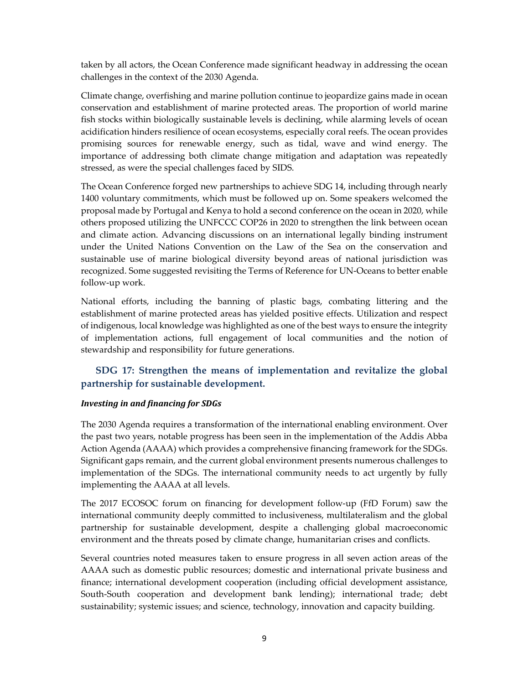taken by all actors, the Ocean Conference made significant headway in addressing the ocean challenges in the context of the 2030 Agenda.

Climate change, overfishing and marine pollution continue to jeopardize gains made in ocean conservation and establishment of marine protected areas. The proportion of world marine fish stocks within biologically sustainable levels is declining, while alarming levels of ocean acidification hinders resilience of ocean ecosystems, especially coral reefs. The ocean provides promising sources for renewable energy, such as tidal, wave and wind energy. The importance of addressing both climate change mitigation and adaptation was repeatedly stressed, as were the special challenges faced by SIDS.

The Ocean Conference forged new partnerships to achieve SDG 14, including through nearly 1400 voluntary commitments, which must be followed up on. Some speakers welcomed the proposal made by Portugal and Kenya to hold a second conference on the ocean in 2020, while others proposed utilizing the UNFCCC COP26 in 2020 to strengthen the link between ocean and climate action. Advancing discussions on an international legally binding instrument under the United Nations Convention on the Law of the Sea on the conservation and sustainable use of marine biological diversity beyond areas of national jurisdiction was recognized. Some suggested revisiting the Terms of Reference for UN‐Oceans to better enable follow‐up work.

National efforts, including the banning of plastic bags, combating littering and the establishment of marine protected areas has yielded positive effects. Utilization and respect of indigenous, local knowledge was highlighted as one of the best ways to ensure the integrity of implementation actions, full engagement of local communities and the notion of stewardship and responsibility for future generations.

### **SDG 17: Strengthen the means of implementation and revitalize the global partnership for sustainable development.**

#### *Investing in and financing for SDGs*

The 2030 Agenda requires a transformation of the international enabling environment. Over the past two years, notable progress has been seen in the implementation of the Addis Abba Action Agenda (AAAA) which provides a comprehensive financing framework for the SDGs. Significant gaps remain, and the current global environment presents numerous challenges to implementation of the SDGs. The international community needs to act urgently by fully implementing the AAAA at all levels.

The 2017 ECOSOC forum on financing for development follow-up (FfD Forum) saw the international community deeply committed to inclusiveness, multilateralism and the global partnership for sustainable development, despite a challenging global macroeconomic environment and the threats posed by climate change, humanitarian crises and conflicts.

Several countries noted measures taken to ensure progress in all seven action areas of the AAAA such as domestic public resources; domestic and international private business and finance; international development cooperation (including official development assistance, South‐South cooperation and development bank lending); international trade; debt sustainability; systemic issues; and science, technology, innovation and capacity building.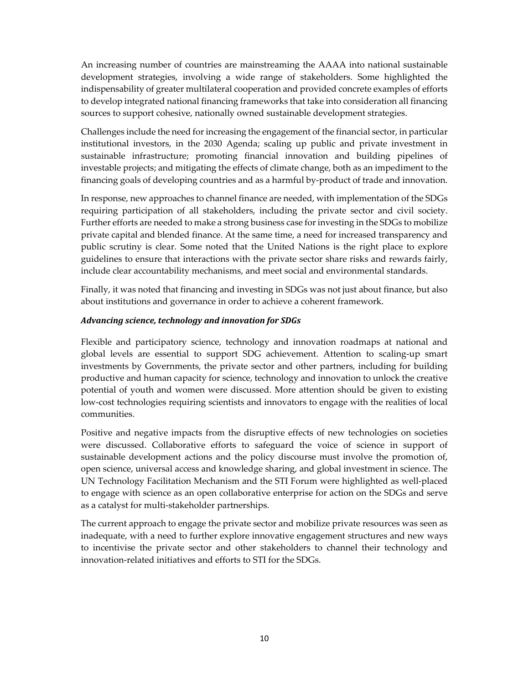An increasing number of countries are mainstreaming the AAAA into national sustainable development strategies, involving a wide range of stakeholders. Some highlighted the indispensability of greater multilateral cooperation and provided concrete examples of efforts to develop integrated national financing frameworks that take into consideration all financing sources to support cohesive, nationally owned sustainable development strategies.

Challenges include the need forincreasing the engagement of the financial sector, in particular institutional investors, in the 2030 Agenda; scaling up public and private investment in sustainable infrastructure; promoting financial innovation and building pipelines of investable projects; and mitigating the effects of climate change, both as an impediment to the financing goals of developing countries and as a harmful by‐product of trade and innovation.

In response, new approaches to channel finance are needed, with implementation of the SDGs requiring participation of all stakeholders, including the private sector and civil society. Further efforts are needed to make a strong business case for investing in the SDGs to mobilize private capital and blended finance. At the same time, a need for increased transparency and public scrutiny is clear. Some noted that the United Nations is the right place to explore guidelines to ensure that interactions with the private sector share risks and rewards fairly, include clear accountability mechanisms, and meet social and environmental standards.

Finally, it was noted that financing and investing in SDGs was not just about finance, but also about institutions and governance in order to achieve a coherent framework.

#### *Advancing science, technology and innovation for SDGs*

Flexible and participatory science, technology and innovation roadmaps at national and global levels are essential to support SDG achievement. Attention to scaling‐up smart investments by Governments, the private sector and other partners, including for building productive and human capacity for science, technology and innovation to unlock the creative potential of youth and women were discussed. More attention should be given to existing low‐cost technologies requiring scientists and innovators to engage with the realities of local communities.

Positive and negative impacts from the disruptive effects of new technologies on societies were discussed. Collaborative efforts to safeguard the voice of science in support of sustainable development actions and the policy discourse must involve the promotion of, open science, universal access and knowledge sharing, and global investment in science. The UN Technology Facilitation Mechanism and the STI Forum were highlighted as well‐placed to engage with science as an open collaborative enterprise for action on the SDGs and serve as a catalyst for multi‐stakeholder partnerships.

The current approach to engage the private sector and mobilize private resources was seen as inadequate, with a need to further explore innovative engagement structures and new ways to incentivise the private sector and other stakeholders to channel their technology and innovation‐related initiatives and efforts to STI for the SDGs.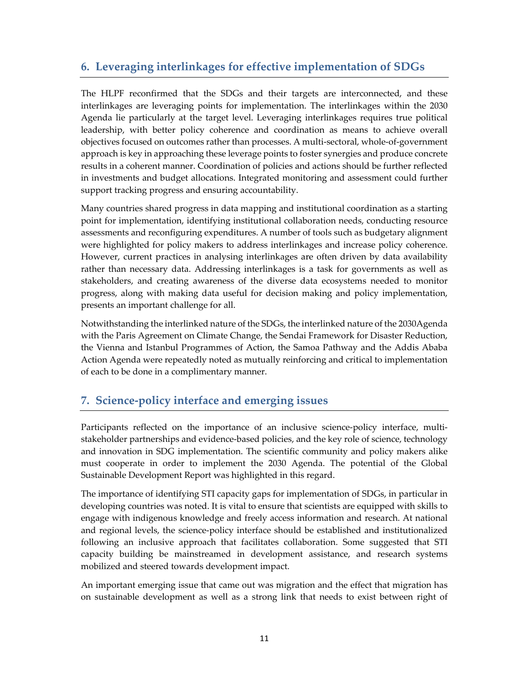# **6. Leveraging interlinkages for effective implementation of SDGs**

The HLPF reconfirmed that the SDGs and their targets are interconnected, and these interlinkages are leveraging points for implementation. The interlinkages within the 2030 Agenda lie particularly at the target level. Leveraging interlinkages requires true political leadership, with better policy coherence and coordination as means to achieve overall objectives focused on outcomes rather than processes. A multi‐sectoral, whole‐of‐government approach is key in approaching these leverage points to foster synergies and produce concrete results in a coherent manner. Coordination of policies and actions should be further reflected in investments and budget allocations. Integrated monitoring and assessment could further support tracking progress and ensuring accountability.

Many countries shared progress in data mapping and institutional coordination as a starting point for implementation, identifying institutional collaboration needs, conducting resource assessments and reconfiguring expenditures. A number of tools such as budgetary alignment were highlighted for policy makers to address interlinkages and increase policy coherence. However, current practices in analysing interlinkages are often driven by data availability rather than necessary data. Addressing interlinkages is a task for governments as well as stakeholders, and creating awareness of the diverse data ecosystems needed to monitor progress, along with making data useful for decision making and policy implementation, presents an important challenge for all.

Notwithstanding the interlinked nature of the SDGs, the interlinked nature of the 2030Agenda with the Paris Agreement on Climate Change, the Sendai Framework for Disaster Reduction, the Vienna and Istanbul Programmes of Action, the Samoa Pathway and the Addis Ababa Action Agenda were repeatedly noted as mutually reinforcing and critical to implementation of each to be done in a complimentary manner.

# **7. Science‐policy interface and emerging issues**

Participants reflected on the importance of an inclusive science-policy interface, multistakeholder partnerships and evidence‐based policies, and the key role of science, technology and innovation in SDG implementation. The scientific community and policy makers alike must cooperate in order to implement the 2030 Agenda. The potential of the Global Sustainable Development Report was highlighted in this regard.

The importance of identifying STI capacity gaps for implementation of SDGs, in particular in developing countries was noted. It is vital to ensure that scientists are equipped with skills to engage with indigenous knowledge and freely access information and research. At national and regional levels, the science‐policy interface should be established and institutionalized following an inclusive approach that facilitates collaboration. Some suggested that STI capacity building be mainstreamed in development assistance, and research systems mobilized and steered towards development impact.

An important emerging issue that came out was migration and the effect that migration has on sustainable development as well as a strong link that needs to exist between right of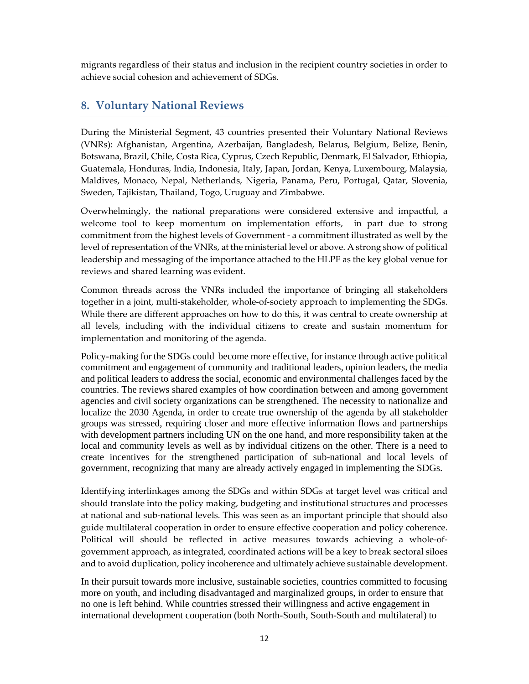migrants regardless of their status and inclusion in the recipient country societies in order to achieve social cohesion and achievement of SDGs.

## **8. Voluntary National Reviews**

During the Ministerial Segment, 43 countries presented their Voluntary National Reviews (VNRs): Afghanistan, Argentina, Azerbaijan, Bangladesh, Belarus, Belgium, Belize, Benin, Botswana, Brazil, Chile, Costa Rica, Cyprus, Czech Republic, Denmark, El Salvador, Ethiopia, Guatemala, Honduras, India, Indonesia, Italy, Japan, Jordan, Kenya, Luxembourg, Malaysia, Maldives, Monaco, Nepal, Netherlands, Nigeria, Panama, Peru, Portugal, Qatar, Slovenia, Sweden, Tajikistan, Thailand, Togo, Uruguay and Zimbabwe.

Overwhelmingly, the national preparations were considered extensive and impactful, a welcome tool to keep momentum on implementation efforts, in part due to strong commitment from the highest levels of Government ‐ a commitment illustrated as well by the level of representation of the VNRs, at the ministerial level or above. A strong show of political leadership and messaging of the importance attached to the HLPF as the key global venue for reviews and shared learning was evident.

Common threads across the VNRs included the importance of bringing all stakeholders together in a joint, multi‐stakeholder, whole‐of‐society approach to implementing the SDGs. While there are different approaches on how to do this, it was central to create ownership at all levels, including with the individual citizens to create and sustain momentum for implementation and monitoring of the agenda.

Policy-making for the SDGs could become more effective, for instance through active political commitment and engagement of community and traditional leaders, opinion leaders, the media and political leaders to address the social, economic and environmental challenges faced by the countries. The reviews shared examples of how coordination between and among government agencies and civil society organizations can be strengthened. The necessity to nationalize and localize the 2030 Agenda, in order to create true ownership of the agenda by all stakeholder groups was stressed, requiring closer and more effective information flows and partnerships with development partners including UN on the one hand, and more responsibility taken at the local and community levels as well as by individual citizens on the other. There is a need to create incentives for the strengthened participation of sub-national and local levels of government, recognizing that many are already actively engaged in implementing the SDGs.

Identifying interlinkages among the SDGs and within SDGs at target level was critical and should translate into the policy making, budgeting and institutional structures and processes at national and sub‐national levels. This was seen as an important principle that should also guide multilateral cooperation in order to ensure effective cooperation and policy coherence. Political will should be reflected in active measures towards achieving a whole‐of‐ government approach, as integrated, coordinated actions will be a key to break sectoral siloes and to avoid duplication, policy incoherence and ultimately achieve sustainable development.

In their pursuit towards more inclusive, sustainable societies, countries committed to focusing more on youth, and including disadvantaged and marginalized groups, in order to ensure that no one is left behind. While countries stressed their willingness and active engagement in international development cooperation (both North-South, South-South and multilateral) to